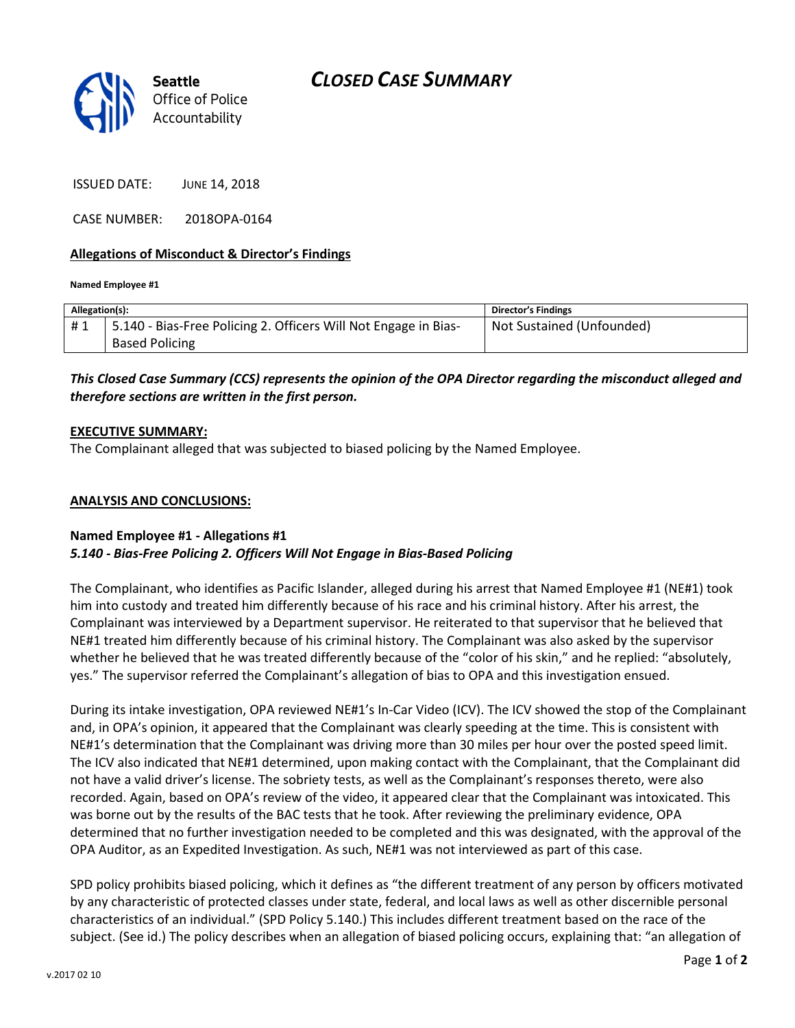



ISSUED DATE: JUNE 14, 2018

CASE NUMBER: 2018OPA-0164

### Allegations of Misconduct & Director's Findings

#### Named Employee #1

| Allegation(s): |                                                                 | <b>Director's Findings</b> |
|----------------|-----------------------------------------------------------------|----------------------------|
| #1             | 5.140 - Bias-Free Policing 2. Officers Will Not Engage in Bias- | Not Sustained (Unfounded)  |
|                | <b>Based Policing</b>                                           |                            |

# This Closed Case Summary (CCS) represents the opinion of the OPA Director regarding the misconduct alleged and therefore sections are written in the first person.

### EXECUTIVE SUMMARY:

The Complainant alleged that was subjected to biased policing by the Named Employee.

### ANALYSIS AND CONCLUSIONS:

## Named Employee #1 - Allegations #1 5.140 - Bias-Free Policing 2. Officers Will Not Engage in Bias-Based Policing

The Complainant, who identifies as Pacific Islander, alleged during his arrest that Named Employee #1 (NE#1) took him into custody and treated him differently because of his race and his criminal history. After his arrest, the Complainant was interviewed by a Department supervisor. He reiterated to that supervisor that he believed that NE#1 treated him differently because of his criminal history. The Complainant was also asked by the supervisor whether he believed that he was treated differently because of the "color of his skin," and he replied: "absolutely, yes." The supervisor referred the Complainant's allegation of bias to OPA and this investigation ensued.

During its intake investigation, OPA reviewed NE#1's In-Car Video (ICV). The ICV showed the stop of the Complainant and, in OPA's opinion, it appeared that the Complainant was clearly speeding at the time. This is consistent with NE#1's determination that the Complainant was driving more than 30 miles per hour over the posted speed limit. The ICV also indicated that NE#1 determined, upon making contact with the Complainant, that the Complainant did not have a valid driver's license. The sobriety tests, as well as the Complainant's responses thereto, were also recorded. Again, based on OPA's review of the video, it appeared clear that the Complainant was intoxicated. This was borne out by the results of the BAC tests that he took. After reviewing the preliminary evidence, OPA determined that no further investigation needed to be completed and this was designated, with the approval of the OPA Auditor, as an Expedited Investigation. As such, NE#1 was not interviewed as part of this case.

SPD policy prohibits biased policing, which it defines as "the different treatment of any person by officers motivated by any characteristic of protected classes under state, federal, and local laws as well as other discernible personal characteristics of an individual." (SPD Policy 5.140.) This includes different treatment based on the race of the subject. (See id.) The policy describes when an allegation of biased policing occurs, explaining that: "an allegation of